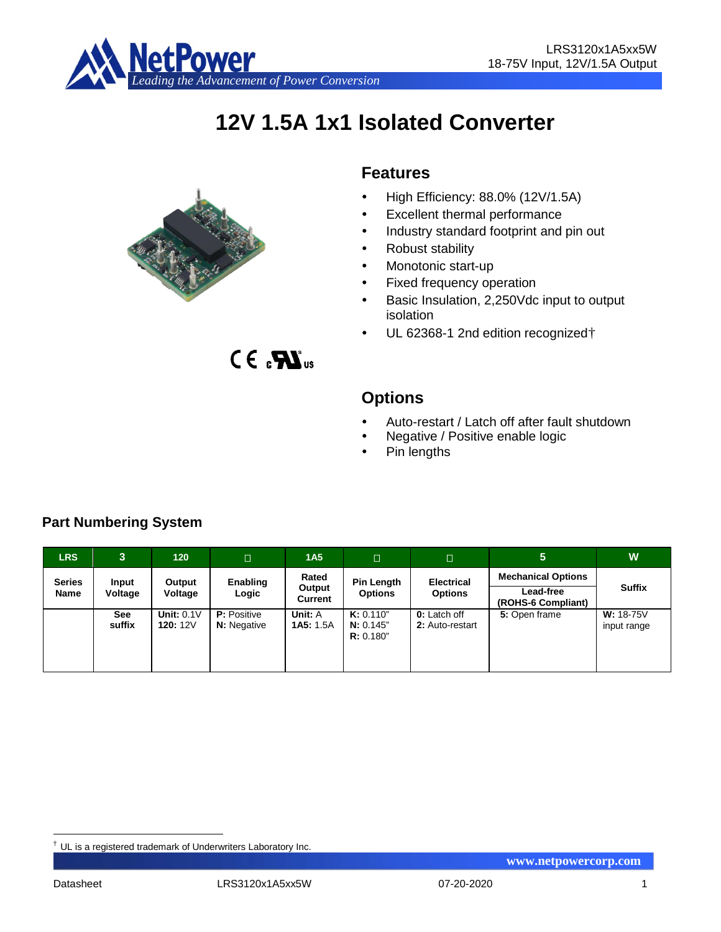

# **12V 1.5A 1x1 Isolated Converter**



 $CE<sub>s</sub>$  $X<sub>us</sub>$ 

## **Features**

- $\bullet$  High Efficiency: 88.0% (12V/1.5A)
- Excellent thermal performance
- Industry standard footprint and pin out
- Robust stability
- Monotonic start-up
- Fixed frequency operation
- Basic Insulation, 2,250Vdc input to output isolation
- UL 62368-1 2nd edition recognized[†](#page-0-0)

## **Options**

- Auto-restart / Latch off after fault shutdown
- Negative / Positive enable logic
- Pin lengths

| <b>LRS</b>            | 3                | 120                        | $\Box$                                   | 1A <sub>5</sub>             | $\Box$                              | $\Box$                                 | $\overline{5}$                                               | W                               |
|-----------------------|------------------|----------------------------|------------------------------------------|-----------------------------|-------------------------------------|----------------------------------------|--------------------------------------------------------------|---------------------------------|
| <b>Series</b><br>Name | Input<br>Voltage | Output<br>Voltage          | Enabling<br>Logic                        | Rated<br>Output<br>Current  | Pin Length<br><b>Options</b>        | <b>Electrical</b><br><b>Options</b>    | <b>Mechanical Options</b><br>Lead-free<br>(ROHS-6 Compliant) | <b>Suffix</b>                   |
|                       | See<br>suffix    | Unit: $0.1V$<br>120: $12V$ | <b>P:</b> Positive<br><b>N:</b> Negative | Unit: A<br><b>1A5: 1.5A</b> | K: 0.110"<br>N: 0.145"<br>R: 0.180" | <b>0:</b> Latch off<br>2: Auto-restart | 5: Open frame                                                | <b>W:</b> 18-75V<br>input range |

## **Part Numbering System**

<span id="page-0-0"></span> $\dagger$  UL is a registered trademark of Underwriters Laboratory Inc.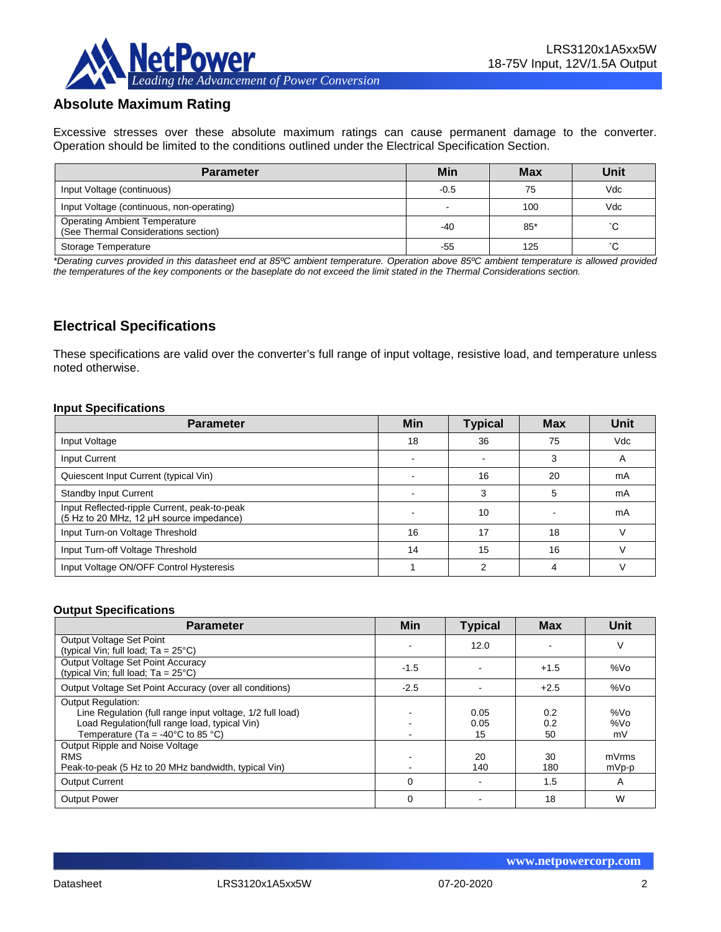

## **Absolute Maximum Rating**

Excessive stresses over these absolute maximum ratings can cause permanent damage to the converter. Operation should be limited to the conditions outlined under the Electrical Specification Section.

| <b>Parameter</b>                                                             | Min                      | <b>Max</b> | Unit |
|------------------------------------------------------------------------------|--------------------------|------------|------|
| Input Voltage (continuous)                                                   | $-0.5$                   | 75         | Vdc  |
| Input Voltage (continuous, non-operating)                                    | $\overline{\phantom{0}}$ | 100        | Vdc  |
| <b>Operating Ambient Temperature</b><br>(See Thermal Considerations section) | -40                      | $85*$      | °C   |
| Storage Temperature                                                          | -55                      | 125        | °C.  |

*\*Derating curves provided in this datasheet end at 85ºC ambient temperature. Operation above 85ºC ambient temperature is allowed provided the temperatures of the key components or the baseplate do not exceed the limit stated in the Thermal Considerations section.*

## **Electrical Specifications**

These specifications are valid over the converter's full range of input voltage, resistive load, and temperature unless noted otherwise.

#### **Input Specifications**

| <b>Parameter</b>                                                                         | <b>Min</b> | <b>Typical</b> | <b>Max</b> | Unit |
|------------------------------------------------------------------------------------------|------------|----------------|------------|------|
| Input Voltage                                                                            | 18         | 36             | 75         | Vdc  |
| Input Current                                                                            |            |                | 3          | A    |
| Quiescent Input Current (typical Vin)                                                    |            | 16             | 20         | mA   |
| <b>Standby Input Current</b>                                                             |            | 3              | 5          | mA   |
| Input Reflected-ripple Current, peak-to-peak<br>(5 Hz to 20 MHz, 12 µH source impedance) |            | 10             |            | mA   |
| Input Turn-on Voltage Threshold                                                          | 16         | 17             | 18         |      |
| Input Turn-off Voltage Threshold                                                         | 14         | 15             | 16         |      |
| Input Voltage ON/OFF Control Hysteresis                                                  |            |                |            |      |

#### **Output Specifications**

| <b>Parameter</b>                                                                                                                                                                       | <b>Min</b>  | <b>Typical</b>     | <b>Max</b>       | Unit             |
|----------------------------------------------------------------------------------------------------------------------------------------------------------------------------------------|-------------|--------------------|------------------|------------------|
| Output Voltage Set Point<br>(typical Vin; full load; $Ta = 25^{\circ}C$ )                                                                                                              |             | 12.0               |                  | V                |
| Output Voltage Set Point Accuracy<br>(typical Vin; full load; $Ta = 25^{\circ}C$ )                                                                                                     | $-1.5$      |                    | $+1.5$           | %Vo              |
| Output Voltage Set Point Accuracy (over all conditions)                                                                                                                                | $-2.5$      |                    | $+2.5$           | %Vo              |
| <b>Output Regulation:</b><br>Line Regulation (full range input voltage, 1/2 full load)<br>Load Regulation(full range load, typical Vin)<br>Temperature (Ta = $-40^{\circ}$ C to 85 °C) |             | 0.05<br>0.05<br>15 | 0.2<br>0.2<br>50 | %Vo<br>%Vo<br>mV |
| Output Ripple and Noise Voltage<br><b>RMS</b><br>Peak-to-peak (5 Hz to 20 MHz bandwidth, typical Vin)                                                                                  |             | 20<br>140          | 30<br>180        | mVrms<br>mVp-p   |
| <b>Output Current</b>                                                                                                                                                                  | $\mathbf 0$ |                    | 1.5              | A                |
| <b>Output Power</b>                                                                                                                                                                    | $\mathbf 0$ |                    | 18               | W                |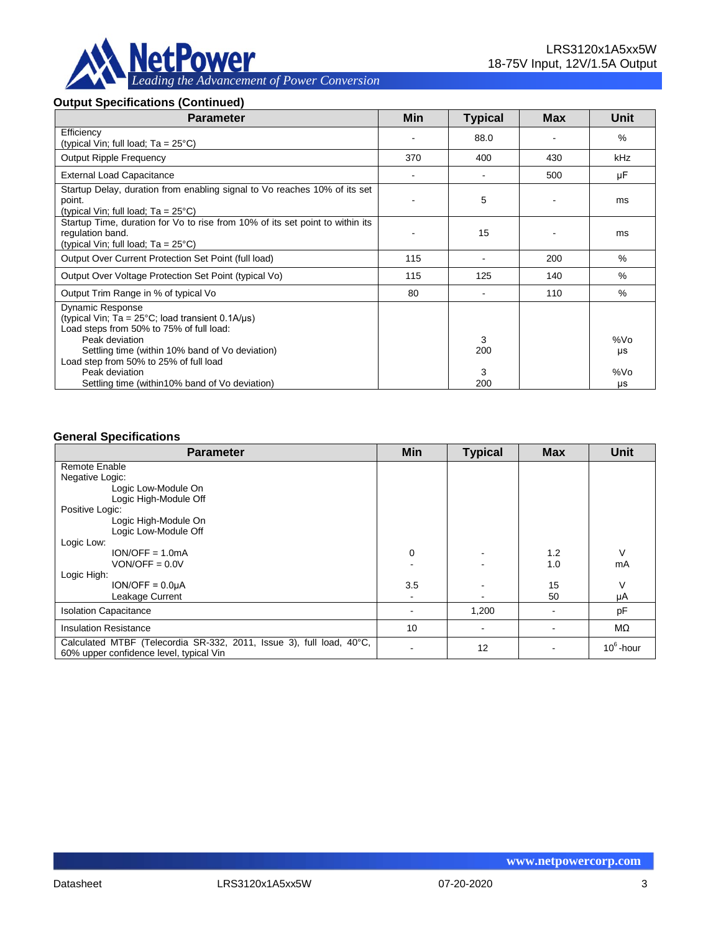

#### **Output Specifications (Continued)**

| <b>Parameter</b>                                                                                                                                                                                                                                                         | <b>Min</b> | <b>Typical</b> | <b>Max</b> | Unit                         |
|--------------------------------------------------------------------------------------------------------------------------------------------------------------------------------------------------------------------------------------------------------------------------|------------|----------------|------------|------------------------------|
| Efficiency<br>(typical Vin; full load; $Ta = 25^{\circ}C$ )                                                                                                                                                                                                              |            | 88.0           |            | $\%$                         |
| <b>Output Ripple Frequency</b>                                                                                                                                                                                                                                           | 370        | 400            | 430        | <b>kHz</b>                   |
| <b>External Load Capacitance</b>                                                                                                                                                                                                                                         |            |                | 500        | μF                           |
| Startup Delay, duration from enabling signal to Vo reaches 10% of its set<br>point.<br>(typical Vin; full load; $Ta = 25^{\circ}C$ )                                                                                                                                     |            | 5              |            | ms                           |
| Startup Time, duration for Vo to rise from 10% of its set point to within its<br>regulation band.<br>(typical Vin; full load; $Ta = 25^{\circ}C$ )                                                                                                                       |            | 15             |            | ms                           |
| Output Over Current Protection Set Point (full load)                                                                                                                                                                                                                     | 115        |                | 200        | %                            |
| Output Over Voltage Protection Set Point (typical Vo)                                                                                                                                                                                                                    | 115        | 125            | 140        | $\%$                         |
| Output Trim Range in % of typical Vo                                                                                                                                                                                                                                     | 80         |                | 110        | $\%$                         |
| <b>Dynamic Response</b><br>(typical Vin; Ta = $25^{\circ}$ C; load transient 0.1A/ $\mu$ s)<br>Load steps from 50% to 75% of full load:<br>Peak deviation<br>Settling time (within 10% band of Vo deviation)<br>Load step from 50% to 25% of full load<br>Peak deviation |            | 3<br>200<br>3  |            | %V <sub>O</sub><br>μs<br>%Vo |
| Settling time (within 10% band of Vo deviation)                                                                                                                                                                                                                          |            | 200            |            | μs                           |

#### **General Specifications**

| <b>Parameter</b>                                                                                                | Min | <b>Typical</b> | <b>Max</b> | <b>Unit</b>  |
|-----------------------------------------------------------------------------------------------------------------|-----|----------------|------------|--------------|
| Remote Enable                                                                                                   |     |                |            |              |
| Negative Logic:                                                                                                 |     |                |            |              |
| Logic Low-Module On                                                                                             |     |                |            |              |
| Logic High-Module Off                                                                                           |     |                |            |              |
| Positive Logic:                                                                                                 |     |                |            |              |
| Logic High-Module On                                                                                            |     |                |            |              |
| Logic Low-Module Off                                                                                            |     |                |            |              |
| Logic Low:                                                                                                      |     |                |            |              |
| $ION/OFF = 1.0mA$                                                                                               | 0   |                | 1.2        | V            |
| $VON/OFF = 0.0V$                                                                                                |     |                | 1.0        | mA           |
| Logic High:                                                                                                     |     |                |            |              |
| $ION/OFF = 0.0µA$                                                                                               | 3.5 |                | 15         | V            |
| Leakage Current                                                                                                 |     |                | 50         | μA           |
| <b>Isolation Capacitance</b>                                                                                    |     | 1,200          |            | pF           |
| <b>Insulation Resistance</b>                                                                                    | 10  |                |            | MΩ           |
| Calculated MTBF (Telecordia SR-332, 2011, Issue 3), full load, 40°C,<br>60% upper confidence level, typical Vin |     | 12             |            | $10^6$ -hour |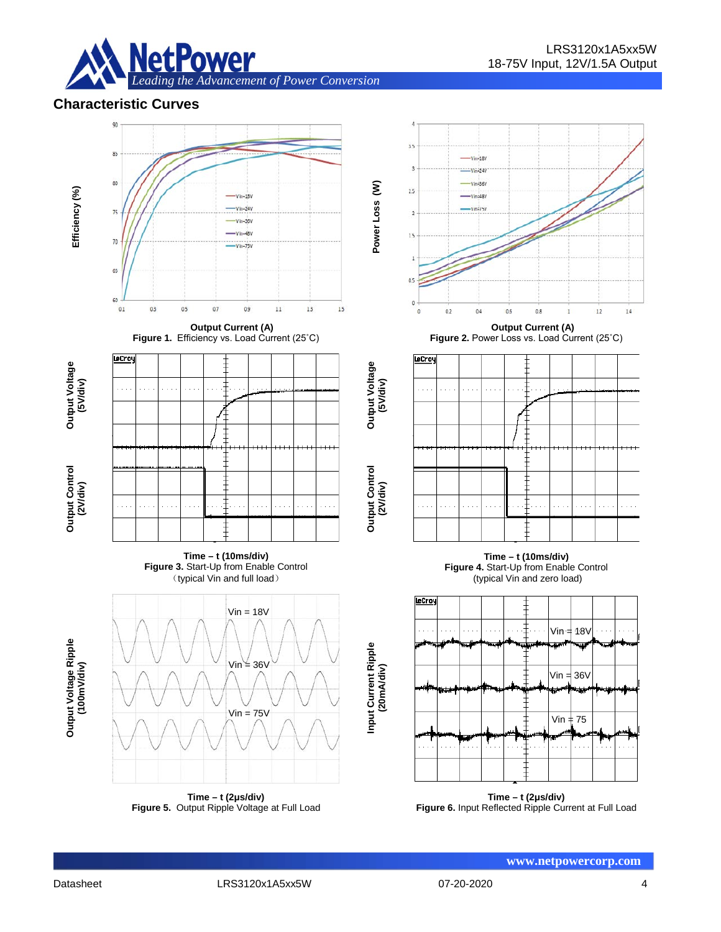

## **Characteristic Curves**





**Time – t (2μs/div) Figure 6.** Input Reflected Ripple Current at Full Load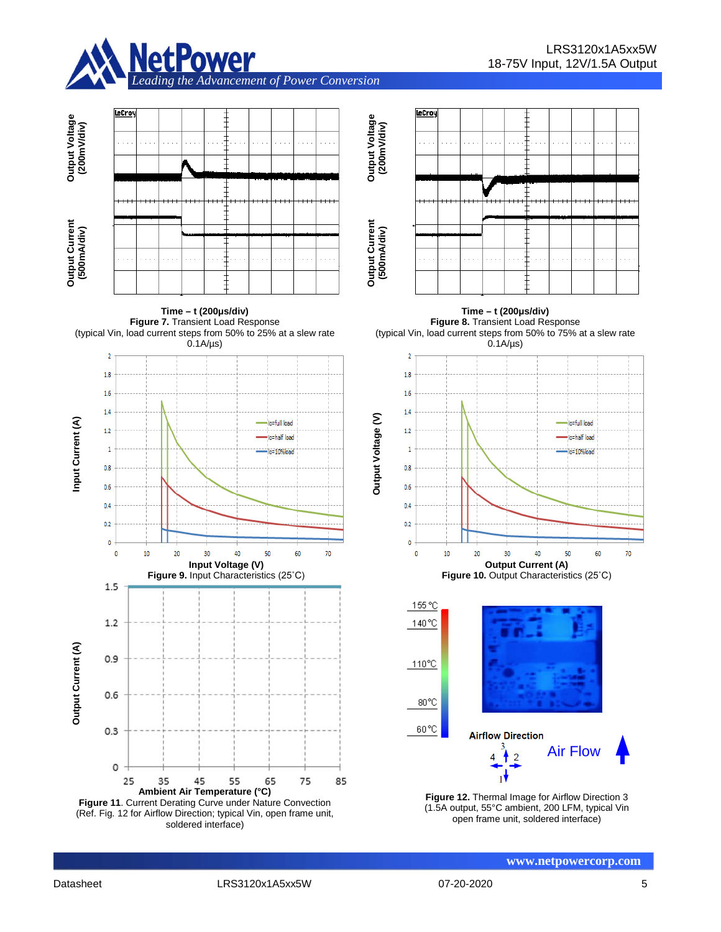



**www.netpowercorp.com**

 $70$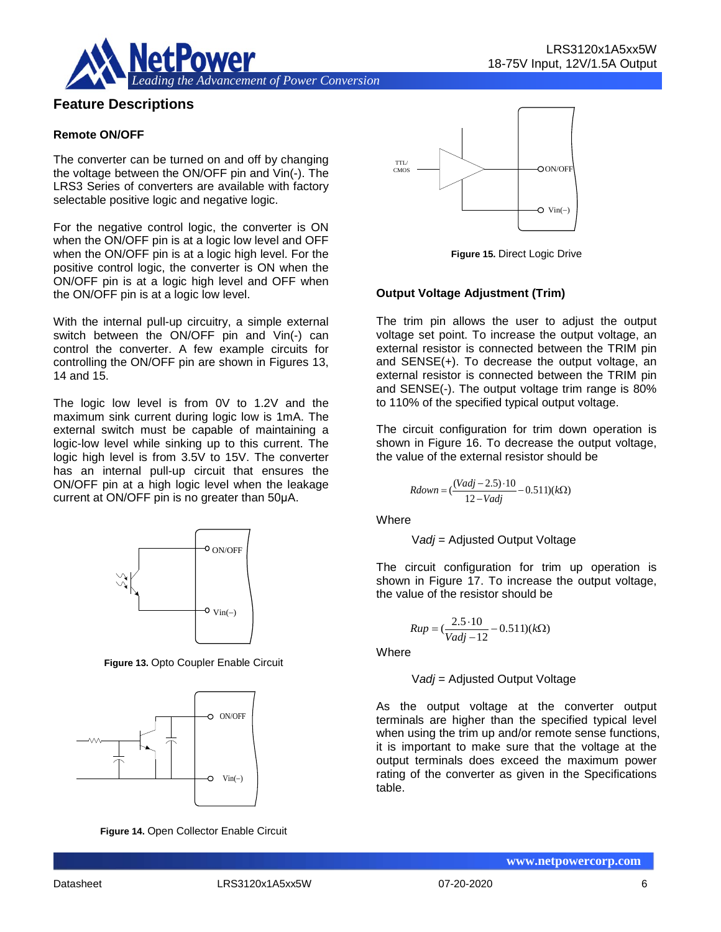

## **Feature Descriptions**

#### **Remote ON/OFF**

The converter can be turned on and off by changing the voltage between the ON/OFF pin and Vin(-). The LRS3 Series of converters are available with factory selectable positive logic and negative logic.

For the negative control logic, the converter is ON when the ON/OFF pin is at a logic low level and OFF when the ON/OFF pin is at a logic high level. For the positive control logic, the converter is ON when the ON/OFF pin is at a logic high level and OFF when the ON/OFF pin is at a logic low level.

With the internal pull-up circuitry, a simple external switch between the ON/OFF pin and Vin(-) can control the converter. A few example circuits for controlling the ON/OFF pin are shown in Figures 13, 14 and 15.

The logic low level is from 0V to 1.2V and the maximum sink current during logic low is 1mA. The external switch must be capable of maintaining a logic-low level while sinking up to this current. The logic high level is from 3.5V to 15V. The converter has an internal pull-up circuit that ensures the ON/OFF pin at a high logic level when the leakage current at ON/OFF pin is no greater than 50μA.



**Figure 13.** Opto Coupler Enable Circuit



**Figure 14.** Open Collector Enable Circuit



**Figure 15.** Direct Logic Drive

#### **Output Voltage Adjustment (Trim)**

The trim pin allows the user to adjust the output voltage set point. To increase the output voltage, an external resistor is connected between the TRIM pin and SENSE(+). To decrease the output voltage, an external resistor is connected between the TRIM pin and SENSE(-). The output voltage trim range is 80% to 110% of the specified typical output voltage.

The circuit configuration for trim down operation is shown in Figure 16. To decrease the output voltage, the value of the external resistor should be

$$
Rdown = (\frac{(Vadj - 2.5) \cdot 10}{12 - Vadj} - 0.511)(kΩ)
$$

Where

$$
Vadj = \text{Adjusted Output}
$$

The circuit configuration for trim up operation is shown in Figure 17. To increase the output voltage, the value of the resistor should be

$$
Rup = \left(\frac{2.5 \cdot 10}{Vadj - 12} - 0.511\right)(k\Omega)
$$

**Where** 

V*adj* = Adjusted Output Voltage

As the output voltage at the converter output terminals are higher than the specified typical level when using the trim up and/or remote sense functions, it is important to make sure that the voltage at the output terminals does exceed the maximum power rating of the converter as given in the Specifications table.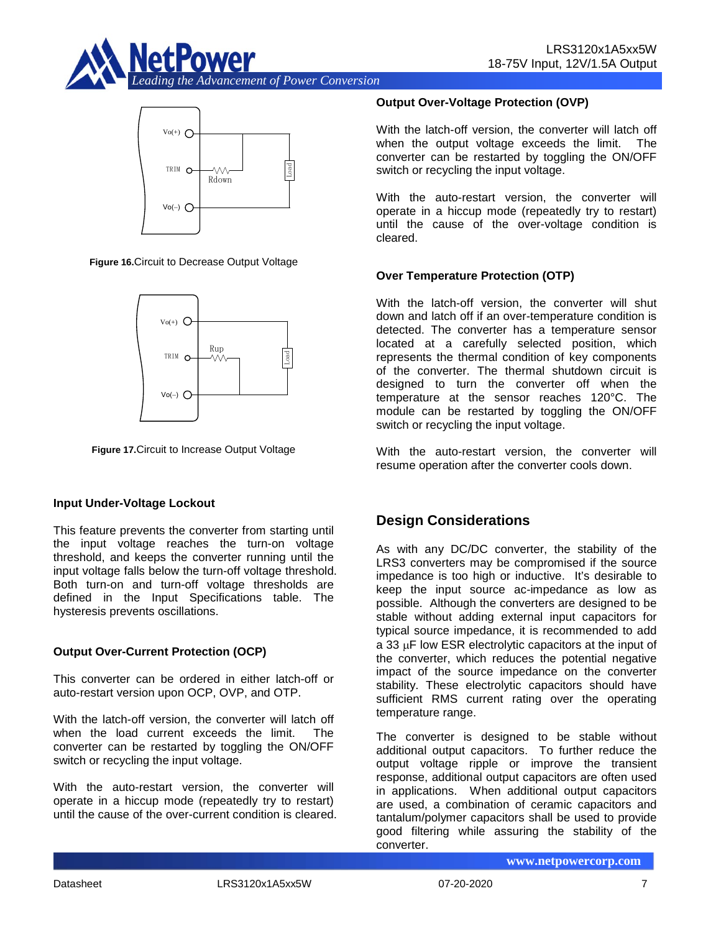



**Figure 16.**Circuit to Decrease Output Voltage



**Figure 17.**Circuit to Increase Output Voltage

#### **Input Under-Voltage Lockout**

This feature prevents the converter from starting until the input voltage reaches the turn-on voltage threshold, and keeps the converter running until the input voltage falls below the turn-off voltage threshold. Both turn-on and turn-off voltage thresholds are defined in the Input Specifications table. The hysteresis prevents oscillations.

## **Output Over-Current Protection (OCP)**

This converter can be ordered in either latch-off or auto-restart version upon OCP, OVP, and OTP.

With the latch-off version, the converter will latch off when the load current exceeds the limit. The converter can be restarted by toggling the ON/OFF switch or recycling the input voltage.

With the auto-restart version, the converter will operate in a hiccup mode (repeatedly try to restart) until the cause of the over-current condition is cleared.

## **Output Over-Voltage Protection (OVP)**

With the latch-off version, the converter will latch off when the output voltage exceeds the limit. The converter can be restarted by toggling the ON/OFF switch or recycling the input voltage.

With the auto-restart version, the converter will operate in a hiccup mode (repeatedly try to restart) until the cause of the over-voltage condition is cleared.

## **Over Temperature Protection (OTP)**

With the latch-off version, the converter will shut down and latch off if an over-temperature condition is detected. The converter has a temperature sensor located at a carefully selected position, which represents the thermal condition of key components of the converter. The thermal shutdown circuit is designed to turn the converter off when the temperature at the sensor reaches 120°C. The module can be restarted by toggling the ON/OFF switch or recycling the input voltage.

With the auto-restart version, the converter will resume operation after the converter cools down.

## **Design Considerations**

As with any DC/DC converter, the stability of the LRS3 converters may be compromised if the source impedance is too high or inductive. It's desirable to keep the input source ac-impedance as low as possible. Although the converters are designed to be stable without adding external input capacitors for typical source impedance, it is recommended to add a 33 µF low ESR electrolytic capacitors at the input of the converter, which reduces the potential negative impact of the source impedance on the converter stability. These electrolytic capacitors should have sufficient RMS current rating over the operating temperature range.

The converter is designed to be stable without additional output capacitors. To further reduce the output voltage ripple or improve the transient response, additional output capacitors are often used in applications. When additional output capacitors are used, a combination of ceramic capacitors and tantalum/polymer capacitors shall be used to provide good filtering while assuring the stability of the converter.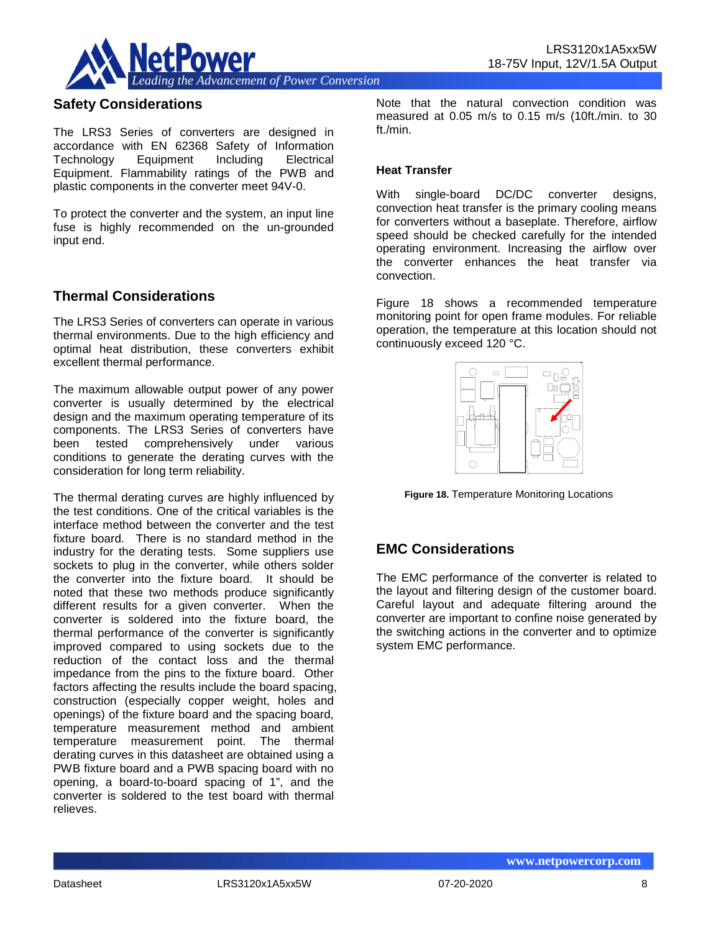

## **Safety Considerations**

The LRS3 Series of converters are designed in accordance with EN 62368 Safety of Information Technology Equipment Including Electrical Equipment. Flammability ratings of the PWB and plastic components in the converter meet 94V-0.

To protect the converter and the system, an input line fuse is highly recommended on the un-grounded input end.

## **Thermal Considerations**

The LRS3 Series of converters can operate in various thermal environments. Due to the high efficiency and optimal heat distribution, these converters exhibit excellent thermal performance.

The maximum allowable output power of any power converter is usually determined by the electrical design and the maximum operating temperature of its components. The LRS3 Series of converters have been tested comprehensively under various conditions to generate the derating curves with the consideration for long term reliability.

The thermal derating curves are highly influenced by the test conditions. One of the critical variables is the interface method between the converter and the test fixture board. There is no standard method in the industry for the derating tests. Some suppliers use sockets to plug in the converter, while others solder the converter into the fixture board. It should be noted that these two methods produce significantly different results for a given converter. When the converter is soldered into the fixture board, the thermal performance of the converter is significantly improved compared to using sockets due to the reduction of the contact loss and the thermal impedance from the pins to the fixture board. Other factors affecting the results include the board spacing, construction (especially copper weight, holes and openings) of the fixture board and the spacing board, temperature measurement method and ambient temperature measurement point. The thermal derating curves in this datasheet are obtained using a PWB fixture board and a PWB spacing board with no opening, a board-to-board spacing of 1", and the converter is soldered to the test board with thermal relieves.

Note that the natural convection condition was measured at 0.05 m/s to 0.15 m/s (10ft./min. to 30 ft./min.

#### **Heat Transfer**

With single-board DC/DC converter designs, convection heat transfer is the primary cooling means for converters without a baseplate. Therefore, airflow speed should be checked carefully for the intended operating environment. Increasing the airflow over the converter enhances the heat transfer via convection.

Figure 18 shows a recommended temperature monitoring point for open frame modules. For reliable operation, the temperature at this location should not continuously exceed 120 °C.



**Figure 18.** Temperature Monitoring Locations

## **EMC Considerations**

The EMC performance of the converter is related to the layout and filtering design of the customer board. Careful layout and adequate filtering around the converter are important to confine noise generated by the switching actions in the converter and to optimize system EMC performance.